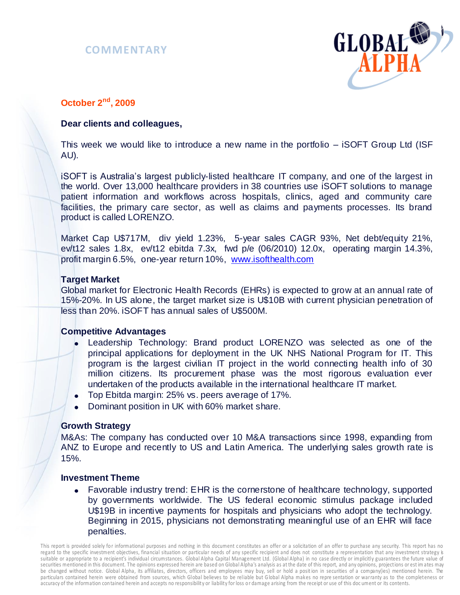



# **October 2nd , 2009**

# **Dear clients and colleagues,**

This week we would like to introduce a new name in the portfolio – iSOFT Group Ltd (ISF AU).

iSOFT is Australia's largest publicly-listed healthcare IT company, and one of the largest in the world. Over 13,000 healthcare providers in 38 countries use iSOFT solutions to manage patient information and workflows across hospitals, clinics, aged and community care facilities, the primary care sector, as well as claims and payments processes. Its brand product is called LORENZO.

Market Cap U\$717M, div yield 1.23%, 5-year sales CAGR 93%, Net debt/equity 21%, ev/t12 sales 1.8x, ev/t12 ebitda 7.3x, fwd p/e (06/2010) 12.0x, operating margin 14.3%, profit margin 6.5%, one-year return 10%, [www.isofthealth.com](http://www.isofthealth.com/)

### **Target Market**

Global market for Electronic Health Records (EHRs) is expected to grow at an annual rate of 15%-20%. In US alone, the target market size is U\$10B with current physician penetration of less than 20%. iSOFT has annual sales of U\$500M.

# **Competitive Advantages**

- Leadership Technology: Brand product LORENZO was selected as one of the principal applications for deployment in the UK NHS National Program for IT. This program is the largest civilian IT project in the world connecting health info of 30 million citizens. Its procurement phase was the most rigorous evaluation ever undertaken of the products available in the international healthcare IT market.
- Top Ebitda margin: 25% vs. peers average of 17%.
- Dominant position in UK with 60% market share.

#### **Growth Strategy**

M&As: The company has conducted over 10 M&A transactions since 1998, expanding from ANZ to Europe and recently to US and Latin America. The underlying sales growth rate is 15%.

#### **Investment Theme**

• Favorable industry trend: EHR is the cornerstone of healthcare technology, supported by governments worldwide. The US federal economic stimulus package included U\$19B in incentive payments for hospitals and physicians who adopt the technology. Beginning in 2015, physicians not demonstrating meaningful use of an EHR will face penalties.

This report is provided solely for informational purposes and nothing in this document constitutes an offer or a solicitation of an offer to purchase any security. This report has no regard to the specific investment objectives, financial situation or particular needs of any specific recipient and does not constitute a representation that any investment strategy is suitable or appropriate to a recipient's individual circumstances. Global Alpha Capital Management Ltd. (Global Alpha) in no case directly or implicitly guarantees the future value of securities mentioned in this document. The opinions expressed herein are based on Global Alpha's analysis as at the date of this report, and any opinions, projections or est im ates may be changed without notice. Global Alpha, its affiliates, directors, officers and employees may buy, sell or hold a posit ion in securities of a company(ies) mentioned herein. The particulars contained herein were obtained from sources, which Global believes to be reliable but G lobal Alpha makes no repre sentation or warranty as to the completeness or accuracy of the information con tained herein and accepts no responsibility or liability for loss o r damage arising from the receipt or use of this doc ument or its contents.